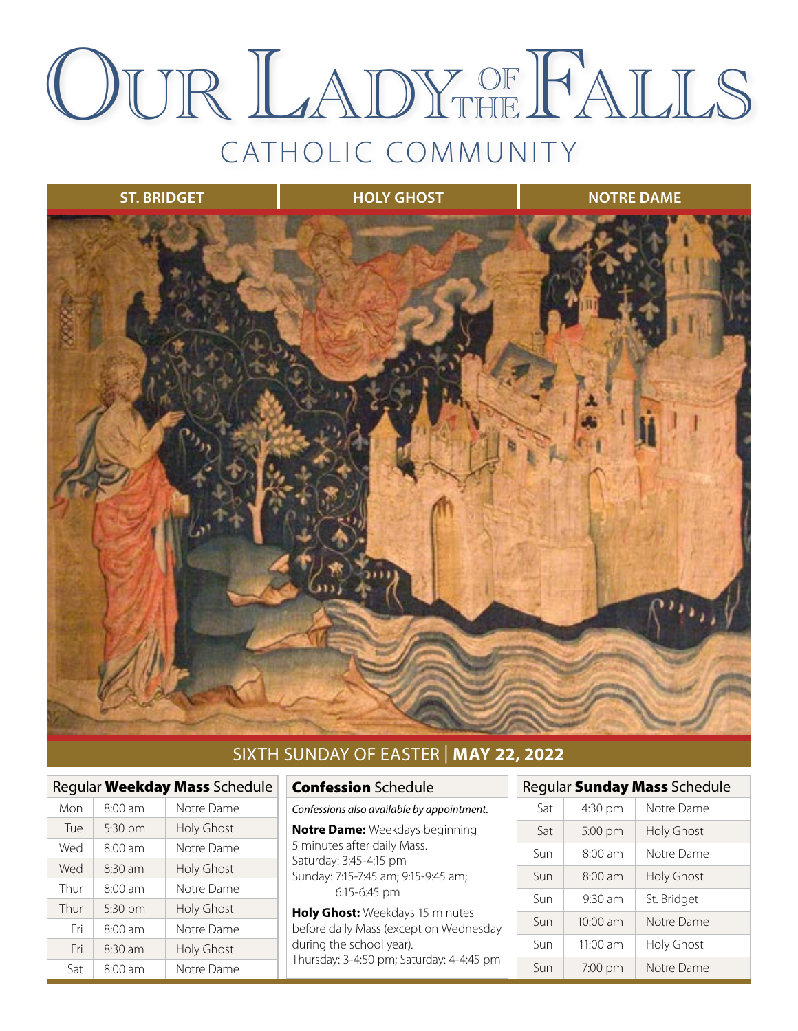## CATHOLIC COMMUNITY OUR LADY OF FALLS THE



#### SIXTH SUNDAY OF EASTER | **MAY 22, 2022**

| Regular Weekday Mass Schedule |                   |                   |  |  |
|-------------------------------|-------------------|-------------------|--|--|
| Mon                           | $8:00$ am         | Notre Dame        |  |  |
| Tue                           | 5:30 pm           | <b>Holy Ghost</b> |  |  |
| Wed                           | $8:00$ am         | Notre Dame        |  |  |
| Wed                           | $8:30$ am         | <b>Holy Ghost</b> |  |  |
| Thur                          | $8:00$ am         | Notre Dame        |  |  |
| Thur                          | 5:30 pm           | <b>Holy Ghost</b> |  |  |
| Fri                           | $8:00$ am         | Notre Dame        |  |  |
| Fri                           | $8.30 \text{ am}$ | <b>Holy Ghost</b> |  |  |
| Sat                           | $8:00$ am         | Notre Dame        |  |  |

#### Confession Schedule

*Confessions also available by appointment.*

**Notre Dame:** Weekdays beginning 5 minutes after daily Mass. Saturday: 3:45-4:15 pm Sunday: 7:15-7:45 am; 9:15-9:45 am; 6:15-6:45 pm

**Holy Ghost:** Weekdays 15 minutes before daily Mass (except on Wednesday during the school year). Thursday: 3-4:50 pm; Saturday: 4-4:45 pm

#### Regular Sunday Mass Schedule Sat 4:30 pm Notre Dame Sat 5:00 pm Holy Ghost Sun 8:00 am Notre Dame Sun | 8:00 am | Holy Ghost Sun  $\vert$  9:30 am  $\vert$  St. Bridget Sun | 10:00 am | Notre Dame Sun  $\vert$  11:00 am  $\vert$  Holy Ghost

Sun 7:00 pm Notre Dame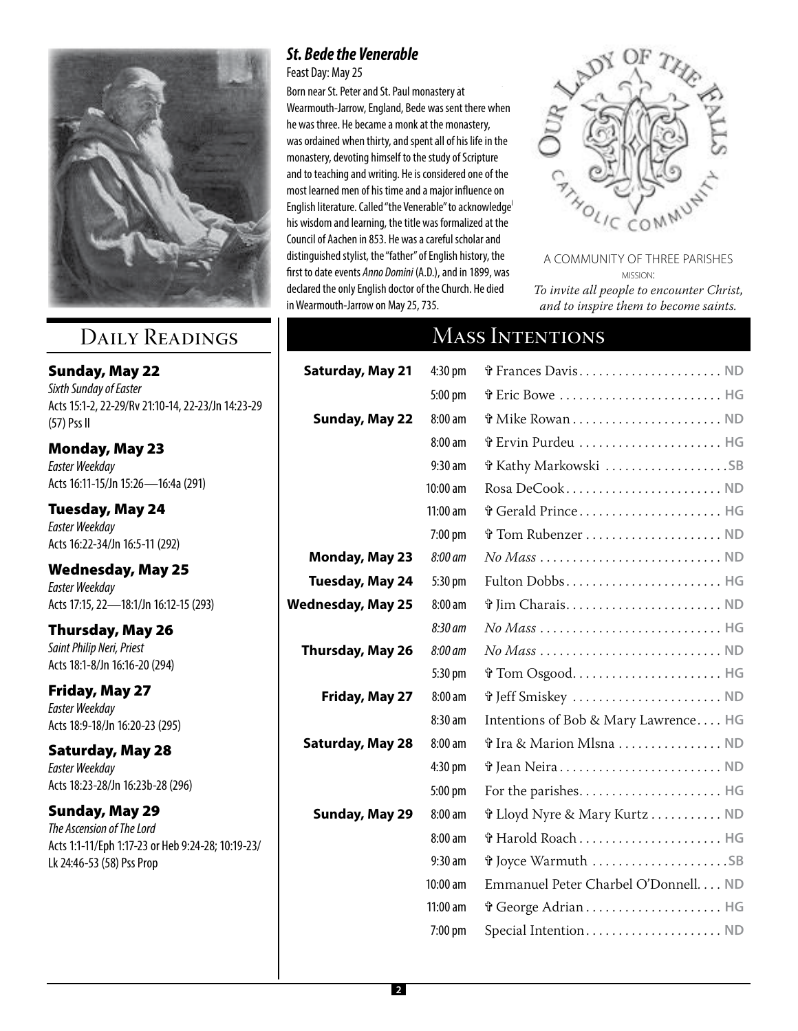

## Daily Readings

Sunday, May 22 *Sixth Sunday of Easter* Acts 15:1-2, 22-29/Rv 21:10-14, 22-23/Jn 14:23-29 (57) Pss II

Monday, May 23 *Easter Weekday* Acts 16:11-15/Jn 15:26—16:4a (291)

Tuesday, May 24 *Easter Weekday* Acts 16:22-34/Jn 16:5-11 (292)

Wednesday, May 25 *Easter Weekday* Acts 17:15, 22—18:1/Jn 16:12-15 (293)

Thursday, May 26 *Saint Philip Neri, Priest* Acts 18:1-8/Jn 16:16-20 (294)

Friday, May 27 *Easter Weekday* Acts 18:9-18/Jn 16:20-23 (295)

Saturday, May 28 *Easter Weekday* Acts 18:23-28/Jn 16:23b-28 (296)

Sunday, May 29 *The Ascension of The Lord* Acts 1:1-11/Eph 1:17-23 or Heb 9:24-28; 10:19-23/ Lk 24:46-53 (58) Pss Prop

#### *St. Bede the Venerable*

Feast Day: May 25

Born near [St. Peter](http://www.catholic.org/saints/saint.php?saint_id=5358) and [St. Paul](http://www.catholic.org/saints/saint.php?saint_id=91) monastery at Wearmouth-Jarrow, England, Bede was sent there when he was three. He became a [monk](http://www.catholic.org/encyclopedia/view.php?id=8107) at the monastery, was ordained when thirty, and spent all of his [life](http://www.catholic.org/encyclopedia/view.php?id=7101) in the monastery, devoting himself to the study of [Scripture](http://www.catholic.org/encyclopedia/view.php?id=10624) and to teaching and writing. He is considered one of the most learned men of his [time](http://www.catholic.org/encyclopedia/view.php?id=11571) and a major influence on English literature. Called "the Venerable" to acknowledge<sup>l</sup> his [wisdom](http://www.catholic.org/bible/book.php?id=27) and learning, the title was formalized at the was on the rearring, the the new commence at the Council of [Aachen](http://www.catholic.org/encyclopedia/view.php?id=3) in 853. He was a careful scholar and tourien of hadden in 033. He was a careful sensitivitient.<br>distinguished stylist, the "father" of English history, the a*s* any distribution of the suffering in 1550 at the suffering in 1550 at the suffering in the suffering in 1899, was age of fifth  $\frac{1}{2}$  first point on  $\frac{1}{2}$  and in 1022, was declared the only English [doctor](http://www.catholic.org/encyclopedia/view.php?id=3932) of the Church. He died in Wearmouth-Jarrow on May 25, 735.



A COMMUNITY OF THREE PARISHES mission: *To invite all people to encounter Christ, and to inspire them to become saints.*

## MASS INTENTIONS

| <b>Saturday, May 21</b>  | 4:30 pm    | G Frances Davis ND                                                            |
|--------------------------|------------|-------------------------------------------------------------------------------|
|                          | 5:00 pm    | G Eric Bowe  HG                                                               |
| <b>Sunday, May 22</b>    | 8:00 am    |                                                                               |
|                          | 8:00 am    | r Ervin Purdeu  HG                                                            |
|                          | $9:30$ am  | งิ Kathy Markowski SB                                                         |
|                          | 10:00 am   | Rosa DeCook ND                                                                |
|                          | $11:00$ am | Gerald Prince HG                                                              |
|                          | 7:00 pm    |                                                                               |
| <b>Monday, May 23</b>    | 8:00 am    | $No\, Mass \ldots \ldots \ldots \ldots \ldots \ldots \ldots \ldots \text{ND}$ |
| Tuesday, May 24          | 5:30 pm    |                                                                               |
| <b>Wednesday, May 25</b> | 8:00 am    | ปี Jim Charais ND                                                             |
|                          | 8:30 am    |                                                                               |
| Thursday, May 26         | 8:00 am    | $No\,Mass\ldots\ldots\ldots\ldots\ldots\ldots\ldots\ldots\ldots\text{ND}$     |
|                          | 5:30 pm    | งิ Tom Osgood HG                                                              |
| Friday, May 27           | 8:00 am    |                                                                               |
|                          | $8:30$ am  | Intentions of Bob & Mary Lawrence HG                                          |
| Saturday, May 28         | 8:00 am    | ปี Ira & Marion Mlsna  ND                                                     |
|                          | 4:30 pm    | ปี Jean Neira ND                                                              |
|                          | 5:00 pm    |                                                                               |
| Sunday, May 29           | $8:00$ am  | งิ Lloyd Nyre & Mary Kurtz ND                                                 |
|                          | 8:00 am    |                                                                               |
|                          | $9:30$ am  | ปี Joyce Warmuth SB                                                           |
|                          | 10:00 am   | Emmanuel Peter Charbel O'Donnell. ND                                          |
|                          | 11:00 am   |                                                                               |
|                          | 7:00 pm    | Special Intention ND                                                          |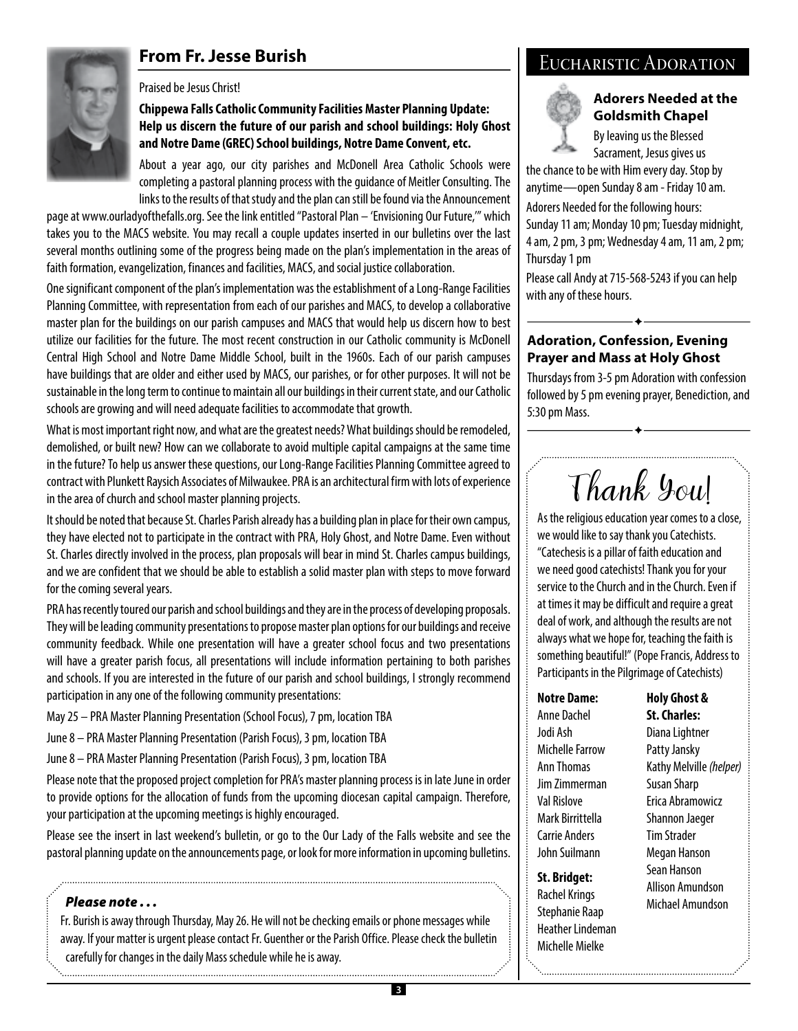#### **From Fr. Jesse Burish**

#### Praised be Jesus Christ!

#### **Chippewa Falls Catholic Community Facilities Master Planning Update: Help us discern the future of our parish and school buildings: Holy Ghost and Notre Dame (GREC) School buildings, Notre Dame Convent, etc.**

About a year ago, our city parishes and McDonell Area Catholic Schools were completing a pastoral planning process with the guidance of Meitler Consulting. The links to the results of that study and the plan can still be found via the Announcement

page at www.ourladyofthefalls.org. See the link entitled "Pastoral Plan – 'Envisioning Our Future,'" which takes you to the MACS website. You may recall a couple updates inserted in our bulletins over the last several months outlining some of the progress being made on the plan's implementation in the areas of faith formation, evangelization, finances and facilities, MACS, and social justice collaboration.

One significant component of the plan's implementation was the establishment of a Long-Range Facilities Planning Committee, with representation from each of our parishes and MACS, to develop a collaborative master plan for the buildings on our parish campuses and MACS that would help us discern how to best utilize our facilities for the future. The most recent construction in our Catholic community is McDonell Central High School and Notre Dame Middle School, built in the 1960s. Each of our parish campuses have buildings that are older and either used by MACS, our parishes, or for other purposes. It will not be sustainable in the long term to continue to maintain all our buildings in their current state, and our Catholic schools are growing and will need adequate facilities to accommodate that growth.

What is most important right now, and what are the greatest needs? What buildings should be remodeled, demolished, or built new? How can we collaborate to avoid multiple capital campaigns at the same time in the future? To help us answer these questions, our Long-Range Facilities Planning Committee agreed to contract with Plunkett Raysich Associates of Milwaukee. PRA is an architectural firm with lots of experience in the area of church and school master planning projects.

It should be noted that because St. Charles Parish already has a building plan in place for their own campus, they have elected not to participate in the contract with PRA, Holy Ghost, and Notre Dame. Even without St. Charles directly involved in the process, plan proposals will bear in mind St. Charles campus buildings, and we are confident that we should be able to establish a solid master plan with steps to move forward for the coming several years.

PRA has recently toured our parish and school buildings and they are in the process of developing proposals. They will be leading community presentations to propose master plan options for our buildings and receive community feedback. While one presentation will have a greater school focus and two presentations will have a greater parish focus, all presentations will include information pertaining to both parishes and schools. If you are interested in the future of our parish and school buildings, I strongly recommend participation in any one of the following community presentations:

- May 25 PRA Master Planning Presentation (School Focus), 7 pm, location TBA
- June 8 PRA Master Planning Presentation (Parish Focus), 3 pm, location TBA
- June 8 PRA Master Planning Presentation (Parish Focus), 3 pm, location TBA

Please note that the proposed project completion for PRA's master planning process is in late June in order to provide options for the allocation of funds from the upcoming diocesan capital campaign. Therefore, your participation at the upcoming meetings is highly encouraged.

Please see the insert in last weekend's bulletin, or go to the Our Lady of the Falls website and see the pastoral planning update on the announcements page, or look for more information in upcoming bulletins.

#### *Please note . . .*

Fr. Burish is away through Thursday, May 26. He will not be checking emails or phone messages while away. If your matter is urgent please contact Fr. Guenther or the Parish Office. Please check the bulletin carefully for changes in the daily Mass schedule while he is away.

#### Eucharistic Adoration

#### **Adorers Needed at the Goldsmith Chapel**

By leaving us the Blessed Sacrament, Jesus gives us

the chance to be with Him every day. Stop by anytime—open Sunday 8 am - Friday 10 am.

Adorers Needed for the following hours:

Sunday 11 am; Monday 10 pm; Tuesday midnight, 4 am, 2 pm, 3 pm; Wednesday 4 am, 11 am, 2 pm; Thursday 1 pm

Please call Andy at 715-568-5243 if you can help with any of these hours.

 $\blacklozenge$ 

#### **Adoration, Confession, Evening Prayer and Mass at Holy Ghost**

Thursdays from 3-5 pm Adoration with confession followed by 5 pm evening prayer, Benediction, and 5:30 pm Mass.

 $\hat{\textbf{r}}$ 

Thank You!

As the religious education year comes to a close, we would like to say thank you Catechists. "Catechesis is a pillar of faith education and we need good catechists! Thank you for your service to the Church and in the Church. Even if at times it may be difficult and require a great deal of work, and although the results are not always what we hope for, teaching the faith is something beautiful!" (Pope Francis, Address to Participants in the Pilgrimage of Catechists)

#### **Notre Dame:**

Anne Dachel Jodi Ash Michelle Farrow Ann Thomas Jim Zimmerman Val Rislove Mark Birrittella Carrie Anders John Suilmann

**St. Bridget:**  Rachel Krings Stephanie Raap Heather Lindeman Michelle Mielke

#### **Holy Ghost & St. Charles:**

Diana Lightner Patty Jansky Kathy Melville *(helper)* Susan Sharp Erica Abramowicz Shannon Jaeger Tim Strader Megan Hanson Sean Hanson Allison Amundson Michael Amundson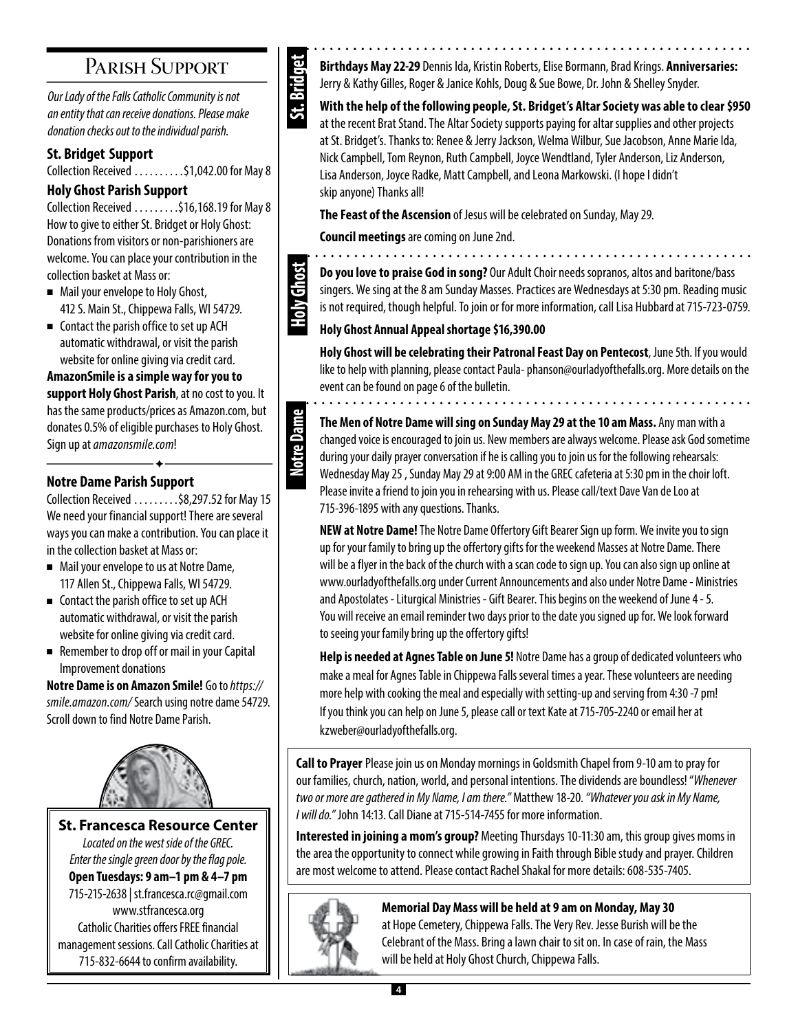## Parish Support

*Our Lady of the Falls Catholic Community is not an entity that can receive donations. Please make donation checks out to the individual parish.*

#### **St. Bridget Support**

Collection Received  $\ldots$ ......\$1,042.00 for May 8

#### **Holy Ghost Parish Support**

Collection Received  $\ldots \ldots$  \$16,168.19 for May 8 How to give to either St. Bridget or Holy Ghost: Donations from visitors or non-parishioners are welcome. You can place your contribution in the collection basket at Mass or:

- Mail your envelope to Holy Ghost, 412 S. Main St., Chippewa Falls, WI 54729.
- $\blacksquare$  Contact the parish office to set up ACH automatic withdrawal, or visit the parish website for online giving via credit card.

**AmazonSmile is a simple way for you to support Holy Ghost Parish**, at no cost to you. It has the same products/prices as Amazon.com, but donates 0.5% of eligible purchases to Holy Ghost. Sign up at *amazonsmile.com*!

#### **Notre Dame Parish Support**

Collection Received  $\ldots \ldots$  \$8,297.52 for May 15 We need your financial support! There are several ways you can make a contribution. You can place it in the collection basket at Mass or:

 $\blacklozenge$ 

- Mail your envelope to us at Notre Dame, 117 Allen St., Chippewa Falls, WI 54729.
- $\blacksquare$  Contact the parish office to set up ACH automatic withdrawal, or visit the parish website for online giving via credit card.
- Remember to drop off or mail in your Capital Improvement donations

**Notre Dame is on Amazon Smile!** Go to *https:// smile.amazon.com/* Search using notre dame 54729. Scroll down to find Notre Dame Parish.



**St. Francesca Resource Center**  *Located on the west side of the GREC. Enter the single green door by the flag pole.* **Open Tuesdays: 9 am–1 pm & 4–7 pm**  715-215-2638 | st.francesca.rc@gmail.com www.stfrancesca.org Catholic Charities offers FREE financial management sessions. Call Catholic Charities at 715-832-6644 to confirm availability.



**Holy Ghost**

**Notre Dame** 

**Birthdays May 22-29** Dennis Ida, Kristin Roberts, Elise Bormann, Brad Krings. **Anniversaries:**  Jerry & Kathy Gilles, Roger & Janice Kohls, Doug & Sue Bowe, Dr. John & Shelley Snyder.

**With the help of the following people, St. Bridget's Altar Society was able to clear \$950** at the recent Brat Stand. The Altar Society supports paying for altar supplies and other projects at St. Bridget's. Thanks to: Renee & Jerry Jackson, Welma Wilbur, Sue Jacobson, Anne Marie Ida, Nick Campbell, Tom Reynon, Ruth Campbell, Joyce Wendtland, Tyler Anderson, Liz Anderson, Lisa Anderson, Joyce Radke, Matt Campbell, and Leona Markowski. (I hope I didn't skip anyone) Thanks all!

**The Feast of the Ascension** of Jesus will be celebrated on Sunday, May 29.

**Council meetings** are coming on June 2nd.

**Do you love to praise God in song?** Our Adult Choir needs sopranos, altos and baritone/bass singers. We sing at the 8 am Sunday Masses. Practices are Wednesdays at 5:30 pm. Reading music is not required, though helpful. To join or for more information, call Lisa Hubbard at 715-723-0759.

#### **Holy Ghost Annual Appeal shortage \$16,390.00**

**Holy Ghost will be celebrating their Patronal Feast Day on Pentecost**, June 5th. If you would like to help with planning, please contact Paula- phanson@ourladyofthefalls.org. More details on the event can be found on page 6 of the bulletin.

**The Men of Notre Dame will sing on Sunday May 29 at the 10 am Mass.** Any man with a changed voice is encouraged to join us. New members are always welcome. Please ask God sometime during your daily prayer conversation if he is calling you to join us for the following rehearsals: Wednesday May 25 , Sunday May 29 at 9:00 AM in the GREC cafeteria at 5:30 pm in the choir loft. Please invite a friend to join you in rehearsing with us. Please call/text Dave Van de Loo at 715-396-1895 with any questions. Thanks.

**NEW at Notre Dame!** The Notre Dame Offertory Gift Bearer Sign up form. We invite you to sign up for your family to bring up the offertory gifts for the weekend Masses at Notre Dame. There will be a flyer in the back of the church with a scan code to sign up. You can also sign up online at www.ourladyofthefalls.org under Current Announcements and also under Notre Dame - Ministries and Apostolates - Liturgical Ministries - Gift Bearer. This begins on the weekend of June 4 - 5. You will receive an email reminder two days prior to the date you signed up for. We look forward to seeing your family bring up the offertory gifts!

**Help is needed at Agnes Table on June 5!** Notre Dame has a group of dedicated volunteers who make a meal for Agnes Table in Chippewa Falls several times a year. These volunteers are needing more help with cooking the meal and especially with setting-up and serving from 4:30 -7 pm! If you think you can help on June 5, please call or text Kate at 715-705-2240 or email her at kzweber@ourladyofthefalls.org.

**Call to Prayer** Please join us on Monday mornings in Goldsmith Chapel from 9-10 am to pray for our families, church, nation, world, and personal intentions. The dividends are boundless! "*Whenever two or more are gathered in My Name, I am there."* Matthew 18-20. *"Whatever you ask in My Name, I will do."* John 14:13. Call Diane at 715-514-7455 for more information.

**Interested in joining a mom's group?** Meeting Thursdays 10-11:30 am, this group gives moms in the area the opportunity to connect while growing in Faith through Bible study and prayer. Children are most welcome to attend. Please contact Rachel Shakal for more details: 608-535-7405.



#### **Memorial Day Mass will be held at 9 am on Monday, May 30**

at Hope Cemetery, Chippewa Falls. The Very Rev. Jesse Burish will be the Celebrant of the Mass. Bring a lawn chair to sit on. In case of rain, the Mass will be held at Holy Ghost Church, Chippewa Falls.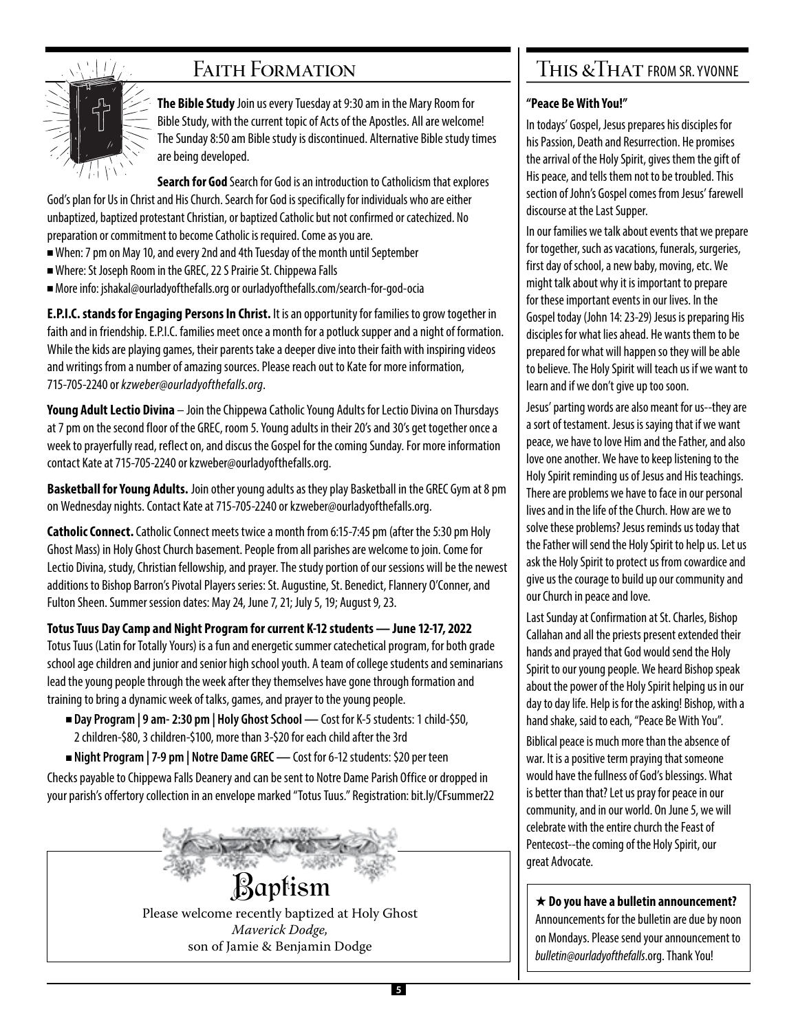# $\left| \right|$

### FAITH FORMATION

**The Bible Study** Join us every Tuesday at 9:30 am in the Mary Room for Bible Study, with the current topic of Acts of the Apostles. All are welcome! The Sunday 8:50 am Bible study is discontinued. Alternative Bible study times are being developed.

**Search for God** Search for God is an introduction to Catholicism that explores God's plan for Us in Christ and His Church. Search for God is specifically for individuals who are either unbaptized, baptized protestant Christian, or baptized Catholic but not confirmed or catechized. No preparation or commitment to become Catholic is required. Come as you are.

- <sup>n</sup> When: 7 pm on May 10, and every 2nd and 4th Tuesday of the month until September
- <sup>n</sup> Where: St Joseph Room in the GREC, 22 S Prairie St. Chippewa Falls
- <sup>n</sup> More info: jshakal@ourladyofthefalls.org or ourladyofthefalls.com/search-for-god-ocia

**E.P.I.C. stands for Engaging Persons In Christ.** It is an opportunity for families to grow together in faith and in friendship. E.P.I.C. families meet once a month for a potluck supper and a night of formation. While the kids are playing games, their parents take a deeper dive into their faith with inspiring videos and writings from a number of amazing sources. Please reach out to Kate for more information, 715-705-2240 or *kzweber@ourladyofthefalls.org*.

**Young Adult Lectio Divina** – Join the Chippewa Catholic Young Adults for Lectio Divina on Thursdays at 7 pm on the second floor of the GREC, room 5. Young adults in their 20's and 30's get together once a week to prayerfully read, reflect on, and discus the Gospel for the coming Sunday. For more information contact Kate at 715-705-2240 or kzweber@ourladyofthefalls.org.

**Basketball for Young Adults.** Join other young adults as they play Basketball in the GREC Gym at 8 pm on Wednesday nights. Contact Kate at 715-705-2240 or kzweber@ourladyofthefalls.org.

**Catholic Connect.** Catholic Connect meets twice a month from 6:15-7:45 pm (after the 5:30 pm Holy Ghost Mass) in Holy Ghost Church basement. People from all parishes are welcome to join. Come for Lectio Divina, study, Christian fellowship, and prayer. The study portion of our sessions will be the newest additions to Bishop Barron's Pivotal Players series: St. Augustine, St. Benedict, Flannery O'Conner, and Fulton Sheen. Summer session dates: May 24, June 7, 21; July 5, 19; August 9, 23.

**Totus Tuus Day Camp and Night Program for current K-12 students — June 12-17, 2022** Totus Tuus (Latin for Totally Yours) is a fun and energetic summer catechetical program, for both grade school age children and junior and senior high school youth. A team of college students and seminarians lead the young people through the week after they themselves have gone through formation and training to bring a dynamic week of talks, games, and prayer to the young people.

- <sup>n</sup> **Day Program | 9 am- 2:30 pm | Holy Ghost School** Cost for K-5 students: 1 child-\$50, 2 children-\$80, 3 children-\$100, more than 3-\$20 for each child after the 3rd
- **Night Program | 7-9 pm | Notre Dame GREC** Cost for 6-12 students: \$20 per teen

Checks payable to Chippewa Falls Deanery and can be sent to Notre Dame Parish Office or dropped in your parish's offertory collection in an envelope marked "Totus Tuus." Registration: bit.ly/CFsummer22

> Baptism Please welcome recently baptized at Holy Ghost *Maverick Dodge,* son of Jamie & Benjamin Dodge

### THIS & THAT FROM SR. YVONNE

#### **"Peace Be With You!"**

In todays' Gospel, Jesus prepares his disciples for his Passion, Death and Resurrection. He promises the arrival of the Holy Spirit, gives them the gift of His peace, and tells them not to be troubled. This section of John's Gospel comes from Jesus' farewell discourse at the Last Supper.

In our families we talk about events that we prepare for together, such as vacations, funerals, surgeries, first day of school, a new baby, moving, etc. We might talk about why it is important to prepare for these important events in our lives. In the Gospel today (John 14: 23-29) Jesus is preparing His disciples for what lies ahead. He wants them to be prepared for what will happen so they will be able to believe. The Holy Spirit will teach us if we want to learn and if we don't give up too soon.

Jesus' parting words are also meant for us--they are a sort of testament. Jesus is saying that if we want peace, we have to love Him and the Father, and also love one another. We have to keep listening to the Holy Spirit reminding us of Jesus and His teachings. There are problems we have to face in our personal lives and in the life of the Church. How are we to solve these problems? Jesus reminds us today that the Father will send the Holy Spirit to help us. Let us ask the Holy Spirit to protect us from cowardice and give us the courage to build up our community and our Church in peace and love.

Last Sunday at Confirmation at St. Charles, Bishop Callahan and all the priests present extended their hands and prayed that God would send the Holy Spirit to our young people. We heard Bishop speak about the power of the Holy Spirit helping us in our day to day life. Help is for the asking! Bishop, with a hand shake, said to each, "Peace Be With You".

Biblical peace is much more than the absence of war. It is a positive term praying that someone would have the fullness of God's blessings. What is better than that? Let us pray for peace in our community, and in our world. On June 5, we will celebrate with the entire church the Feast of Pentecost--the coming of the Holy Spirit, our great Advocate.

★ **Do you have a bulletin announcement?** Announcements for the bulletin are due by noon on Mondays. Please send your announcement to *bulletin@ourladyofthefalls*.org. Thank You!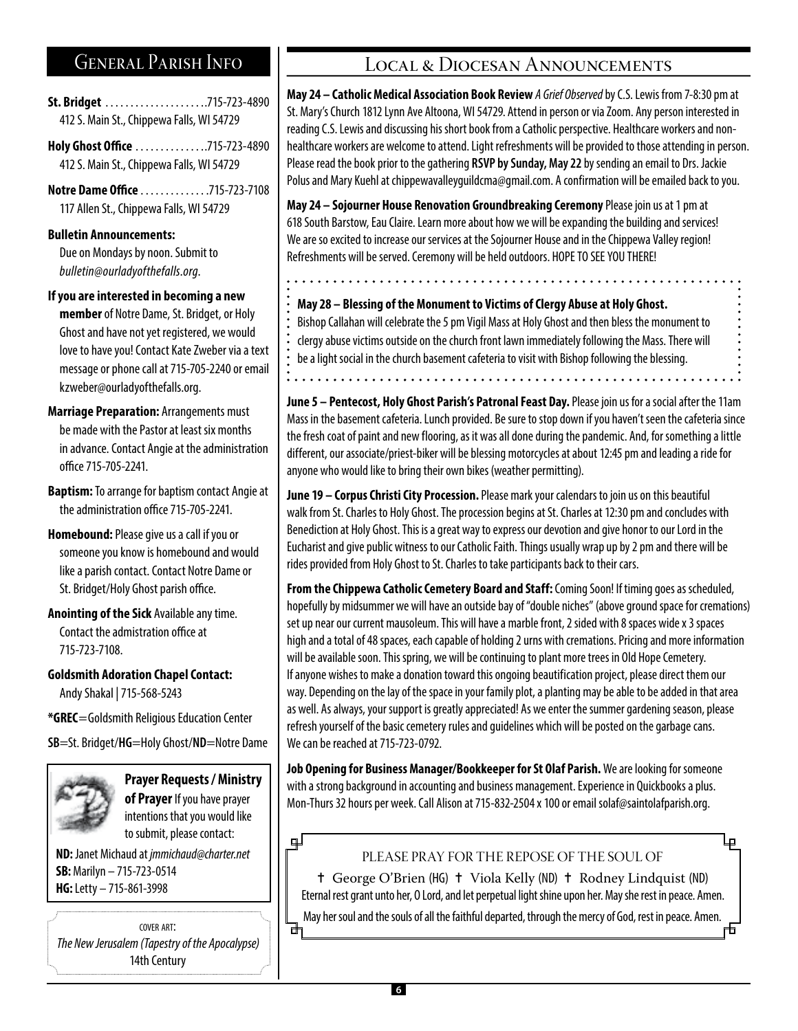### General Parish Info

**St. Bridget** . .715-723-4890 412 S. Main St., Chippewa Falls, WI 54729

**Holy Ghost Office** ..............715-723-4890 412 S. Main St., Chippewa Falls, WI 54729

**Notre Dame Office** . . . . . . . . . . . . . 715-723-7108 117 Allen St., Chippewa Falls, WI 54729

#### **Bulletin Announcements:**

Due on Mondays by noon. Submit to *bulletin@ourladyofthefalls.org*.

**If you are interested in becoming a new** 

**member** of Notre Dame, St. Bridget, or Holy Ghost and have not yet registered, we would love to have you! Contact Kate Zweber via a text message or phone call at 715-705-2240 or email kzweber@ourladyofthefalls.org.

**Marriage Preparation:** Arrangements must be made with the Pastor at least six months in advance. Contact Angie at the administration office 715-705-2241.

**Baptism:** To arrange for baptism contact Angie at the administration office 715-705-2241.

**Homebound:** Please give us a call if you or someone you know is homebound and would like a parish contact. Contact Notre Dame or St. Bridget/Holy Ghost parish office.

**Anointing of the Sick** Available any time. Contact the admistration office at 715-723-7108.

**Goldsmith Adoration Chapel Contact:**  Andy Shakal | 715-568-5243

**\*GREC**=Goldsmith Religious Education Center

**SB**=St. Bridget/**HG**=Holy Ghost/**ND**=Notre Dame



**Prayer Requests / Ministry of Prayer** If you have prayer intentions that you would like to submit, please contact:

**ND:** Janet Michaud at *jmmichaud@charter.net*  **SB:** Marilyn – 715-723-0514 **HG:** Letty – 715-861-3998

cover art: *The New Jerusalem (Tapestry of the Apocalypse)* 14th Century

#### LOCAL & DIOCESAN ANNOUNCEMENTS

**May 24 – Catholic Medical Association Book Review** *A Grief Observed* by C.S. Lewis from 7-8:30 pm at St. Mary's Church 1812 Lynn Ave Altoona, WI 54729. Attend in person or via Zoom. Any person interested in reading C.S. Lewis and discussing his short book from a Catholic perspective. Healthcare workers and nonhealthcare workers are welcome to attend. Light refreshments will be provided to those attending in person. Please read the book prior to the gathering **RSVP by Sunday, May 22** by sending an email to Drs. Jackie Polus and Mary Kuehl at chippewavalleyguildcma@gmail.com. A confirmation will be emailed back to you.

**May 24 – Sojourner House Renovation Groundbreaking Ceremony** Please join us at 1 pm at 618 South Barstow, Eau Claire. Learn more about how we will be expanding the building and services! We are so excited to increase our services at the Sojourner House and in the Chippewa Valley region! Refreshments will be served. Ceremony will be held outdoors. HOPE TO SEE YOU THERE!

**May 28 – Blessing of the Monument to Victims of Clergy Abuse at Holy Ghost.** Bishop Callahan will celebrate the 5 pm Vigil Mass at Holy Ghost and then bless the monument to clergy abuse victims outside on the church front lawn immediately following the Mass. There will be a light social in the church basement cafeteria to visit with Bishop following the blessing.

**June 5 – Pentecost, Holy Ghost Parish's Patronal Feast Day.** Please join us for a social after the 11am Mass in the basement cafeteria. Lunch provided. Be sure to stop down if you haven't seen the cafeteria since the fresh coat of paint and new flooring, as it was all done during the pandemic. And, for something a little different, our associate/priest-biker will be blessing motorcycles at about 12:45 pm and leading a ride for anyone who would like to bring their own bikes (weather permitting).

**June 19 – Corpus Christi City Procession.** Please mark your calendars to join us on this beautiful walk from St. Charles to Holy Ghost. The procession begins at St. Charles at 12:30 pm and concludes with Benediction at Holy Ghost. This is a great way to express our devotion and give honor to our Lord in the Eucharist and give public witness to our Catholic Faith. Things usually wrap up by 2 pm and there will be rides provided from Holy Ghost to St. Charles to take participants back to their cars.

**From the Chippewa Catholic Cemetery Board and Staff:** Coming Soon! If timing goes as scheduled, hopefully by midsummer we will have an outside bay of "double niches" (above ground space for cremations) set up near our current mausoleum. This will have a marble front, 2 sided with 8 spaces wide x 3 spaces high and a total of 48 spaces, each capable of holding 2 urns with cremations. Pricing and more information will be available soon. This spring, we will be continuing to plant more trees in Old Hope Cemetery. If anyone wishes to make a donation toward this ongoing beautification project, please direct them our way. Depending on the lay of the space in your family plot, a planting may be able to be added in that area as well. As always, your support is greatly appreciated! As we enter the summer gardening season, please refresh yourself of the basic cemetery rules and guidelines which will be posted on the garbage cans. We can be reached at 715-723-0792.

**Job Opening for Business Manager/Bookkeeper for St Olaf Parish.** We are looking for someone with a strong background in accounting and business management. Experience in Quickbooks a plus. Mon-Thurs 32 hours per week. Call Alison at 715-832-2504 x 100 or email solaf@saintolafparish.org.

#### டி

के

PLEASE PRAY FOR THE REPOSE OF THE SOUL OF

= George O'Brien (HG) = Viola Kelly (ND) = Rodney Lindquist (ND) Eternal rest grant unto her, O Lord, and let perpetual light shine upon her. May she rest in peace. Amen. May her soul and the souls of all the faithful departed, through the mercy of God, rest in peace. Amen.

市

لہا

**6**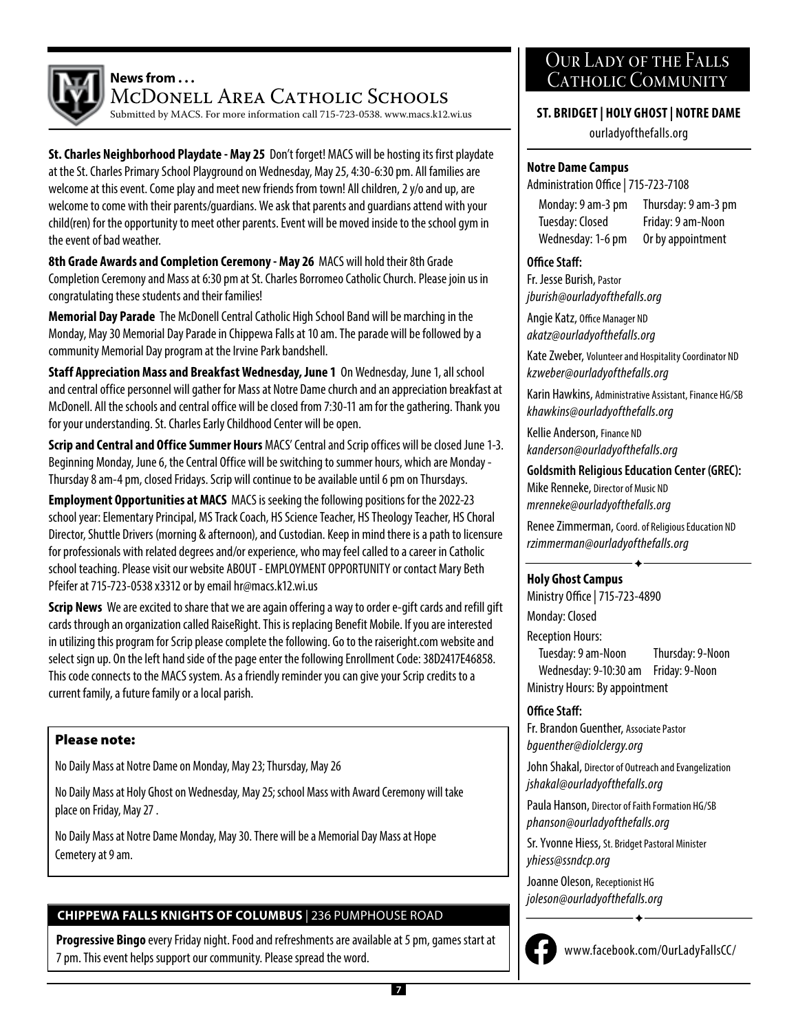

#### **News from . . .**

McDonell Area Catholic Schools

Submitted by MACS. For more information call 715-723-0538. www.macs.k12.wi.us

**St. Charles Neighborhood Playdate - May 25** Don't forget! MACS will be hosting its first playdate at the St. Charles Primary School Playground on Wednesday, May 25, 4:30-6:30 pm. All families are welcome at this event. Come play and meet new friends from town! All children, 2 y/o and up, are welcome to come with their parents/guardians. We ask that parents and guardians attend with your child(ren) for the opportunity to meet other parents. Event will be moved inside to the school gym in the event of bad weather.

**8th Grade Awards and Completion Ceremony - May 26** MACS will hold their 8th Grade Completion Ceremony and Mass at 6:30 pm at St. Charles Borromeo Catholic Church. Please join us in congratulating these students and their families!

**Memorial Day Parade** The McDonell Central Catholic High School Band will be marching in the Monday, May 30 Memorial Day Parade in Chippewa Falls at 10 am. The parade will be followed by a community Memorial Day program at the Irvine Park bandshell.

**Staff Appreciation Mass and Breakfast Wednesday, June 1** On Wednesday, June 1, all school and central office personnel will gather for Mass at Notre Dame church and an appreciation breakfast at McDonell. All the schools and central office will be closed from 7:30-11 am for the gathering. Thank you for your understanding. St. Charles Early Childhood Center will be open.

**Scrip and Central and Office Summer Hours** MACS' Central and Scrip offices will be closed June 1-3. Beginning Monday, June 6, the Central Office will be switching to summer hours, which are Monday - Thursday 8 am-4 pm, closed Fridays. Scrip will continue to be available until 6 pm on Thursdays.

**Employment Opportunities at MACS** MACS is seeking the following positions for the 2022-23 school year: Elementary Principal, MS Track Coach, HS Science Teacher, HS Theology Teacher, HS Choral Director, Shuttle Drivers (morning & afternoon), and Custodian. Keep in mind there is a path to licensure for professionals with related degrees and/or experience, who may feel called to a career in Catholic school teaching. Please visit our website ABOUT - EMPLOYMENT OPPORTUNITY or contact Mary Beth Pfeifer at 715-723-0538 x3312 or by email hr@macs.k12.wi.us

**Scrip News** We are excited to share that we are again offering a way to order e-gift cards and refill gift cards through an organization called RaiseRight. This is replacing Benefit Mobile. If you are interested in utilizing this program for Scrip please complete the following. Go to the raiseright.com website and select sign up. On the left hand side of the page enter the following Enrollment Code: 38D2417E46858. This code connects to the MACS system. As a friendly reminder you can give your Scrip credits to a current family, a future family or a local parish.

#### Please note:

No Daily Mass at Notre Dame on Monday, May 23; Thursday, May 26

No Daily Mass at Holy Ghost on Wednesday, May 25; school Mass with Award Ceremony will take place on Friday, May 27 .

No Daily Mass at Notre Dame Monday, May 30. There will be a Memorial Day Mass at Hope Cemetery at 9 am.

#### **CHIPPEWA FALLS KNIGHTS OF COLUMBUS** | 236 PUMPHOUSE ROAD

**Progressive Bingo** every Friday night. Food and refreshments are available at 5 pm, games start at 7 pm. This event helps support our community. Please spread the word.

#### Our Lady of the Falls CATHOLIC COMMUNITY

#### **ST. BRIDGET | HOLY GHOST | NOTRE DAME**

ourladyofthefalls.org

#### **Notre Dame Campus**

Administration Office | 715-723-7108

Monday: 9 am-3 pm Tuesday: Closed Wednesday: 1-6 pm

Thursday: 9 am-3 pm Friday: 9 am-Noon Or by appointment

#### **Office Staff:**

Fr. Jesse Burish, Pastor *jburish@ourladyofthefalls.org* 

Angie Katz, Office Manager ND *akatz@ourladyofthefalls.org*

Kate Zweber, Volunteer and Hospitality Coordinator ND *kzweber@ourladyofthefalls.org* 

Karin Hawkins, Administrative Assistant, Finance HG/SB *khawkins@ourladyofthefalls.org* 

Kellie Anderson, Finance ND *kanderson@ourladyofthefalls.org* 

**Goldsmith Religious Education Center (GREC):** Mike Renneke, Director of Music ND *mrenneke@ourladyofthefalls.org* 

Renee Zimmerman, Coord. of Religious Education ND *rzimmerman@ourladyofthefalls.org*

 $\hat{\textbf{r}}$ 

#### **Holy Ghost Campus**

Ministry Office | 715-723-4890 Monday: Closed Reception Hours: Tuesday: 9 am-Noon Thursday: 9-Noon Wednesday: 9-10:30 am Friday: 9-Noon Ministry Hours: By appointment

#### **Office Staff:**

Fr. Brandon Guenther, Associate Pastor *bguenther@diolclergy.org*

John Shakal, Director of Outreach and Evangelization *jshakal@ourladyofthefalls.org* 

Paula Hanson, Director of Faith Formation HG/SB *phanson@ourladyofthefalls.org*

Sr. Yvonne Hiess, St. Bridget Pastoral Minister *yhiess@ssndcp.org*

Joanne Oleson, Receptionist HG *joleson@ourladyofthefalls.org*



www.facebook.com/OurLadyFallsCC/

 $\hat{\textbf{r}}$